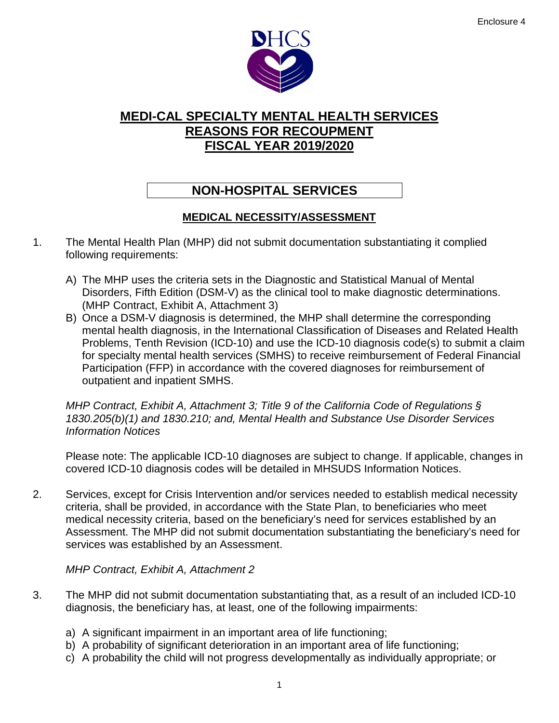

# **NON-HOSPITAL SERVICES**

### **MEDICAL NECESSITY/ASSESSMENT**

- 1. The Mental Health Plan (MHP) did not submit documentation substantiating it complied following requirements:
	- A) The MHP uses the criteria sets in the Diagnostic and Statistical Manual of Mental Disorders, Fifth Edition (DSM-V) as the clinical tool to make diagnostic determinations. (MHP Contract, Exhibit A, Attachment 3)
	- B) Once a DSM-V diagnosis is determined, the MHP shall determine the corresponding mental health diagnosis, in the International Classification of Diseases and Related Health Problems, Tenth Revision (ICD-10) and use the ICD-10 diagnosis code(s) to submit a claim for specialty mental health services (SMHS) to receive reimbursement of Federal Financial Participation (FFP) in accordance with the covered diagnoses for reimbursement of outpatient and inpatient SMHS.

*MHP Contract, Exhibit A, Attachment 3; Title 9 of the California Code of Regulations § 1830.205(b)(1) and 1830.210; and, Mental Health and Substance Use Disorder Services Information Notices*

Please note: The applicable ICD-10 diagnoses are subject to change. If applicable, changes in covered ICD-10 diagnosis codes will be detailed in MHSUDS Information Notices.

2. Services, except for Crisis Intervention and/or services needed to establish medical necessity criteria, shall be provided, in accordance with the State Plan, to beneficiaries who meet medical necessity criteria, based on the beneficiary's need for services established by an Assessment. The MHP did not submit documentation substantiating the beneficiary's need for services was established by an Assessment.

#### *MHP Contract, Exhibit A, Attachment 2*

- 3. The MHP did not submit documentation substantiating that, as a result of an included ICD-10 diagnosis, the beneficiary has, at least, one of the following impairments:
	- a) A significant impairment in an important area of life functioning;
	- b) A probability of significant deterioration in an important area of life functioning;
	- c) A probability the child will not progress developmentally as individually appropriate; or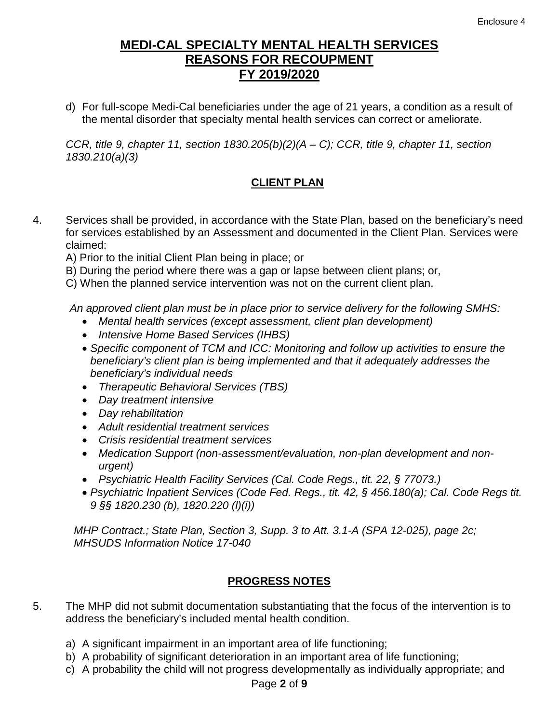d) For full-scope Medi-Cal beneficiaries under the age of 21 years, a condition as a result of the mental disorder that specialty mental health services can correct or ameliorate.

*CCR, title 9, chapter 11, section 1830.205(b)(2)(A – C); CCR, title 9, chapter 11, section 1830.210(a)(3)*

#### **CLIENT PLAN**

4. Services shall be provided, in accordance with the State Plan, based on the beneficiary's need for services established by an Assessment and documented in the Client Plan. Services were claimed:

A) Prior to the initial Client Plan being in place; or

B) During the period where there was a gap or lapse between client plans; or,

C) When the planned service intervention was not on the current client plan.

*An approved client plan must be in place prior to service delivery for the following SMHS:*

- *Mental health services (except assessment, client plan development)*
- *Intensive Home Based Services (IHBS)*
- *Specific component of TCM and ICC: Monitoring and follow up activities to ensure the beneficiary's client plan is being implemented and that it adequately addresses the beneficiary's individual needs*
- *Therapeutic Behavioral Services (TBS)*
- *Day treatment intensive*
- *Day rehabilitation*
- *Adult residential treatment services*
- *Crisis residential treatment services*
- *Medication Support (non-assessment/evaluation, non-plan development and nonurgent)*
- *Psychiatric Health Facility Services (Cal. Code Regs., tit. 22, § 77073.)*
- *Psychiatric Inpatient Services (Code Fed. Regs., tit. 42, § 456.180(a); Cal. Code Regs tit. 9 §§ 1820.230 (b), 1820.220 (l)(i))*

*MHP Contract.; State Plan, Section 3, Supp. 3 to Att. 3.1-A (SPA 12-025), page 2c; MHSUDS Information Notice 17-040*

#### **PROGRESS NOTES**

- 5. The MHP did not submit documentation substantiating that the focus of the intervention is to address the beneficiary's included mental health condition.
	- a) A significant impairment in an important area of life functioning;
	- b) A probability of significant deterioration in an important area of life functioning;
	- c) A probability the child will not progress developmentally as individually appropriate; and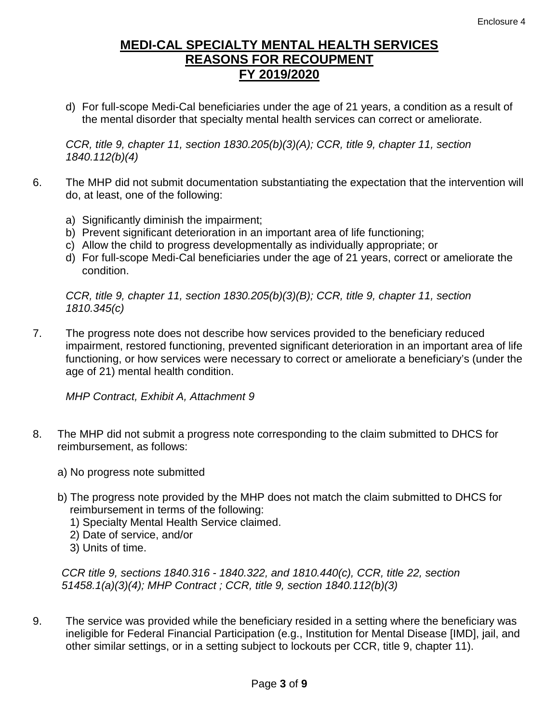d) For full-scope Medi-Cal beneficiaries under the age of 21 years, a condition as a result of the mental disorder that specialty mental health services can correct or ameliorate.

*CCR, title 9, chapter 11, section 1830.205(b)(3)(A); CCR, title 9, chapter 11, section 1840.112(b)(4)*

- 6. The MHP did not submit documentation substantiating the expectation that the intervention will do, at least, one of the following:
	- a) Significantly diminish the impairment;
	- b) Prevent significant deterioration in an important area of life functioning;
	- c) Allow the child to progress developmentally as individually appropriate; or
	- d) For full-scope Medi-Cal beneficiaries under the age of 21 years, correct or ameliorate the condition.

*CCR, title 9, chapter 11, section 1830.205(b)(3)(B); CCR, title 9, chapter 11, section 1810.345(c)*

7. The progress note does not describe how services provided to the beneficiary reduced impairment, restored functioning, prevented significant deterioration in an important area of life functioning, or how services were necessary to correct or ameliorate a beneficiary's (under the age of 21) mental health condition.

*MHP Contract, Exhibit A, Attachment 9*

- 8. The MHP did not submit a progress note corresponding to the claim submitted to DHCS for reimbursement, as follows:
	- a) No progress note submitted
	- b) The progress note provided by the MHP does not match the claim submitted to DHCS for reimbursement in terms of the following:
		- 1) Specialty Mental Health Service claimed.
		- 2) Date of service, and/or
		- 3) Units of time.

*CCR title 9, sections 1840.316 - 1840.322, and 1810.440(c), CCR, title 22, section 51458.1(a)(3)(4); MHP Contract ; CCR, title 9, section 1840.112(b)(3)*

9. The service was provided while the beneficiary resided in a setting where the beneficiary was ineligible for Federal Financial Participation (e.g., Institution for Mental Disease [IMD], jail, and other similar settings, or in a setting subject to lockouts per CCR, title 9, chapter 11).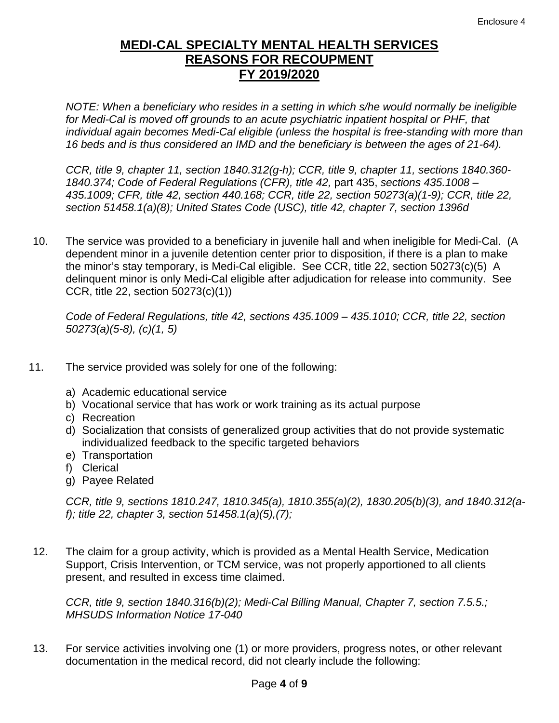*NOTE: When a beneficiary who resides in a setting in which s/he would normally be ineligible for Medi-Cal is moved off grounds to an acute psychiatric inpatient hospital or PHF, that individual again becomes Medi-Cal eligible (unless the hospital is free-standing with more than 16 beds and is thus considered an IMD and the beneficiary is between the ages of 21-64).*

*CCR, title 9, chapter 11, section 1840.312(g-h); CCR, title 9, chapter 11, sections 1840.360- 1840.374; Code of Federal Regulations (CFR), title 42,* part 435, *sections 435.1008* – *435.1009; CFR, title 42, section 440.168; CCR, title 22, section 50273(a)(1-9); CCR, title 22, section 51458.1(a)(8); United States Code (USC), title 42, chapter 7, section 1396d*

10. The service was provided to a beneficiary in juvenile hall and when ineligible for Medi-Cal. (A dependent minor in a juvenile detention center prior to disposition, if there is a plan to make the minor's stay temporary, is Medi-Cal eligible. See CCR, title 22, section 50273(c)(5) A delinquent minor is only Medi-Cal eligible after adjudication for release into community. See CCR, title 22, section 50273(c)(1))

*Code of Federal Regulations, title 42, sections 435.1009* – *435.1010; CCR, title 22, section 50273(a)(5-8), (c)(1, 5)*

- 11. The service provided was solely for one of the following:
	- a) Academic educational service
	- b) Vocational service that has work or work training as its actual purpose
	- c) Recreation
	- d) Socialization that consists of generalized group activities that do not provide systematic individualized feedback to the specific targeted behaviors
	- e) Transportation
	- f) Clerical
	- g) Payee Related

*CCR, title 9, sections 1810.247, 1810.345(a), 1810.355(a)(2), 1830.205(b)(3), and 1840.312(af); title 22, chapter 3, section 51458.1(a)(5),(7);*

12. The claim for a group activity, which is provided as a Mental Health Service, Medication Support, Crisis Intervention, or TCM service, was not properly apportioned to all clients present, and resulted in excess time claimed.

*CCR, title 9, section 1840.316(b)(2); Medi-Cal Billing Manual, Chapter 7, section 7.5.5.; MHSUDS Information Notice 17-040*

13. For service activities involving one (1) or more providers, progress notes, or other relevant documentation in the medical record, did not clearly include the following: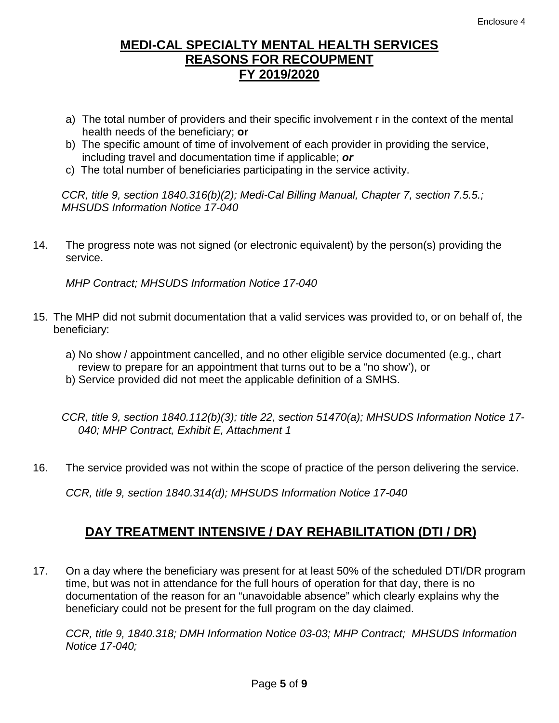- a) The total number of providers and their specific involvement r in the context of the mental health needs of the beneficiary; **or**
- b) The specific amount of time of involvement of each provider in providing the service, including travel and documentation time if applicable; *or*
- c) The total number of beneficiaries participating in the service activity.

*CCR, title 9, section 1840.316(b)(2); Medi-Cal Billing Manual, Chapter 7, section 7.5.5.; MHSUDS Information Notice 17-040*

14. The progress note was not signed (or electronic equivalent) by the person(s) providing the service.

*MHP Contract; MHSUDS Information Notice 17-040*

- 15. The MHP did not submit documentation that a valid services was provided to, or on behalf of, the beneficiary:
	- a) No show / appointment cancelled, and no other eligible service documented (e.g., chart review to prepare for an appointment that turns out to be a "no show'), or
	- b) Service provided did not meet the applicable definition of a SMHS.

*CCR, title 9, section 1840.112(b)(3); title 22, section 51470(a); MHSUDS Information Notice 17- 040; MHP Contract, Exhibit E, Attachment 1*

16. The service provided was not within the scope of practice of the person delivering the service.

*CCR, title 9, section 1840.314(d); MHSUDS Information Notice 17-040*

# **DAY TREATMENT INTENSIVE / DAY REHABILITATION (DTI / DR)**

17. On a day where the beneficiary was present for at least 50% of the scheduled DTI/DR program time, but was not in attendance for the full hours of operation for that day, there is no documentation of the reason for an "unavoidable absence" which clearly explains why the beneficiary could not be present for the full program on the day claimed.

*CCR, title 9, 1840.318; DMH Information Notice 03-03; MHP Contract; MHSUDS Information Notice 17-040;*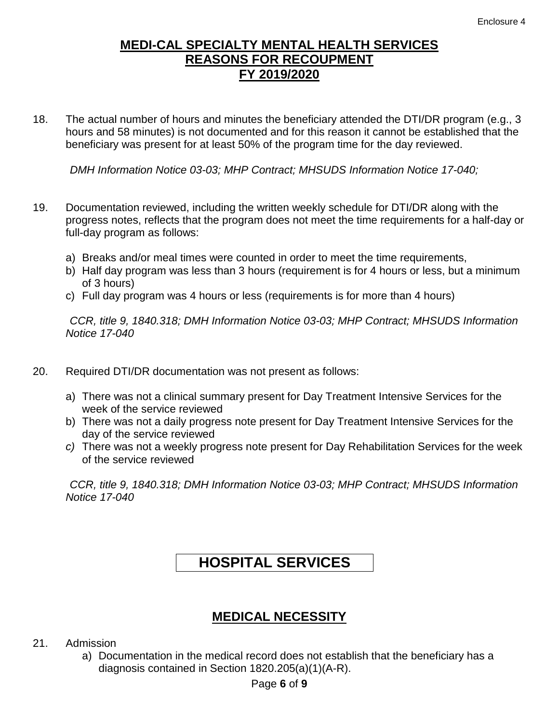18. The actual number of hours and minutes the beneficiary attended the DTI/DR program (e.g., 3 hours and 58 minutes) is not documented and for this reason it cannot be established that the beneficiary was present for at least 50% of the program time for the day reviewed.

*DMH Information Notice 03-03; MHP Contract; MHSUDS Information Notice 17-040;*

- 19. Documentation reviewed, including the written weekly schedule for DTI/DR along with the progress notes, reflects that the program does not meet the time requirements for a half-day or full-day program as follows:
	- a) Breaks and/or meal times were counted in order to meet the time requirements,
	- b) Half day program was less than 3 hours (requirement is for 4 hours or less, but a minimum of 3 hours)
	- c) Full day program was 4 hours or less (requirements is for more than 4 hours)

*CCR, title 9, 1840.318; DMH Information Notice 03-03; MHP Contract; MHSUDS Information Notice 17-040*

- 20. Required DTI/DR documentation was not present as follows:
	- a) There was not a clinical summary present for Day Treatment Intensive Services for the week of the service reviewed
	- b) There was not a daily progress note present for Day Treatment Intensive Services for the day of the service reviewed
	- *c)* There was not a weekly progress note present for Day Rehabilitation Services for the week of the service reviewed

*CCR, title 9, 1840.318; DMH Information Notice 03-03; MHP Contract; MHSUDS Information Notice 17-040*

# **HOSPITAL SERVICES**

### **MEDICAL NECESSITY**

- 21. Admission
	- a) Documentation in the medical record does not establish that the beneficiary has a diagnosis contained in Section 1820.205(a)(1)(A-R).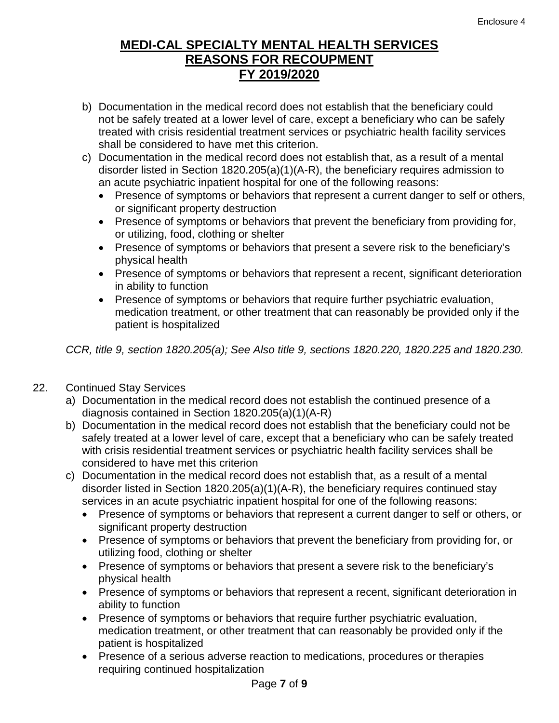- b) Documentation in the medical record does not establish that the beneficiary could not be safely treated at a lower level of care, except a beneficiary who can be safely treated with crisis residential treatment services or psychiatric health facility services shall be considered to have met this criterion.
- c) Documentation in the medical record does not establish that, as a result of a mental disorder listed in Section 1820.205(a)(1)(A-R), the beneficiary requires admission to an acute psychiatric inpatient hospital for one of the following reasons:
	- Presence of symptoms or behaviors that represent a current danger to self or others, or significant property destruction
	- Presence of symptoms or behaviors that prevent the beneficiary from providing for, or utilizing, food, clothing or shelter
	- Presence of symptoms or behaviors that present a severe risk to the beneficiary's physical health
	- Presence of symptoms or behaviors that represent a recent, significant deterioration in ability to function
	- Presence of symptoms or behaviors that require further psychiatric evaluation, medication treatment, or other treatment that can reasonably be provided only if the patient is hospitalized

*CCR, title 9, section 1820.205(a); See Also title 9, sections 1820.220, 1820.225 and 1820.230.*

#### 22. Continued Stay Services

- a) Documentation in the medical record does not establish the continued presence of a diagnosis contained in Section 1820.205(a)(1)(A-R)
- b) Documentation in the medical record does not establish that the beneficiary could not be safely treated at a lower level of care, except that a beneficiary who can be safely treated with crisis residential treatment services or psychiatric health facility services shall be considered to have met this criterion
- c) Documentation in the medical record does not establish that, as a result of a mental disorder listed in Section 1820.205(a)(1)(A-R), the beneficiary requires continued stay services in an acute psychiatric inpatient hospital for one of the following reasons:
	- Presence of symptoms or behaviors that represent a current danger to self or others, or significant property destruction
	- Presence of symptoms or behaviors that prevent the beneficiary from providing for, or utilizing food, clothing or shelter
	- Presence of symptoms or behaviors that present a severe risk to the beneficiary's physical health
	- Presence of symptoms or behaviors that represent a recent, significant deterioration in ability to function
	- Presence of symptoms or behaviors that require further psychiatric evaluation, medication treatment, or other treatment that can reasonably be provided only if the patient is hospitalized
	- Presence of a serious adverse reaction to medications, procedures or therapies requiring continued hospitalization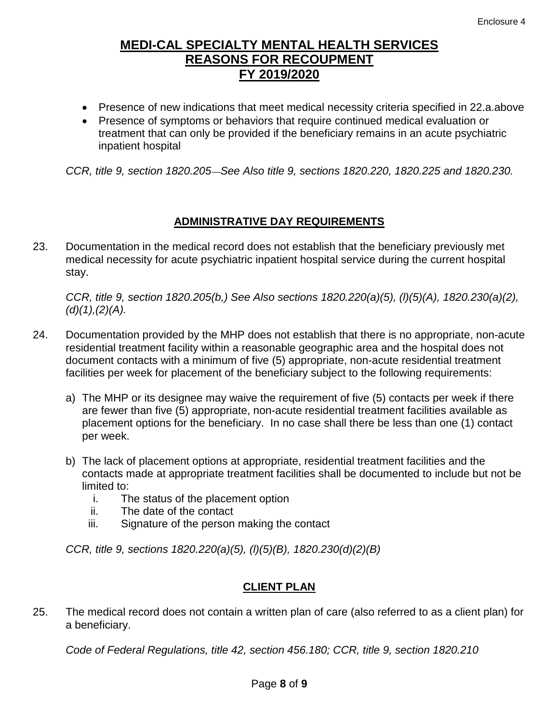- Presence of new indications that meet medical necessity criteria specified in 22.a.above
- Presence of symptoms or behaviors that require continued medical evaluation or treatment that can only be provided if the beneficiary remains in an acute psychiatric inpatient hospital

*CCR, title 9, section 1820.205 See Also title 9, sections 1820.220, 1820.225 and 1820.230.*

#### **ADMINISTRATIVE DAY REQUIREMENTS**

23. Documentation in the medical record does not establish that the beneficiary previously met medical necessity for acute psychiatric inpatient hospital service during the current hospital stay.

*CCR, title 9, section 1820.205(b,) See Also sections 1820.220(a)(5), (l)(5)(A), 1820.230(a)(2), (d)(1),(2)(A).*

- 24. Documentation provided by the MHP does not establish that there is no appropriate, non-acute residential treatment facility within a reasonable geographic area and the hospital does not document contacts with a minimum of five (5) appropriate, non-acute residential treatment facilities per week for placement of the beneficiary subject to the following requirements:
	- a) The MHP or its designee may waive the requirement of five (5) contacts per week if there are fewer than five (5) appropriate, non-acute residential treatment facilities available as placement options for the beneficiary. In no case shall there be less than one (1) contact per week.
	- b) The lack of placement options at appropriate, residential treatment facilities and the contacts made at appropriate treatment facilities shall be documented to include but not be limited to:
		- i. The status of the placement option
		- ii. The date of the contact
		- iii. Signature of the person making the contact

*CCR, title 9, sections 1820.220(a)(5), (l)(5)(B), 1820.230(d)(2)(B)*

#### **CLIENT PLAN**

25. The medical record does not contain a written plan of care (also referred to as a client plan) for a beneficiary.

*Code of Federal Regulations, title 42, section 456.180; CCR, title 9, section 1820.210*